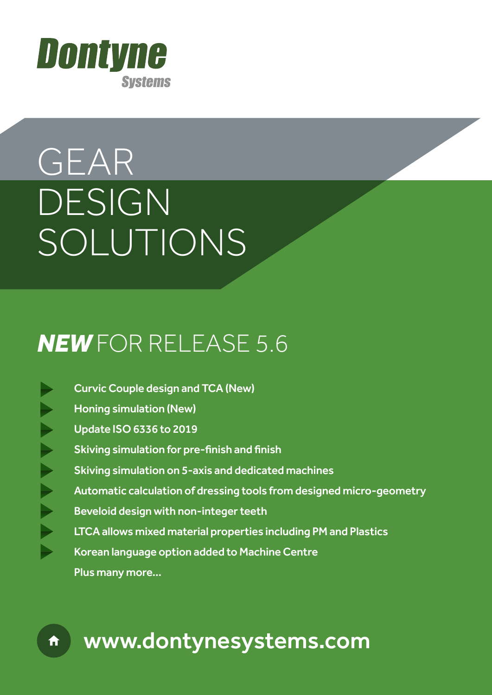

# GEAR DESIGN SOLUTIONS

# *NEW* FOR RELEASE 5.6

 Curvic Couple design and TCA (New) Honing simulation (New) Update ISO 6336 to 2019 Skiving simulation for pre-finish and finish Skiving simulation on 5-axis and dedicated machines Automatic calculation of dressing tools from designed micro-geometry Beveloid design with non-integer teeth LTCA allows mixed material properties including PM and Plastics Korean language option added to Machine Centre Plus many more...

## www.dontynesystems.com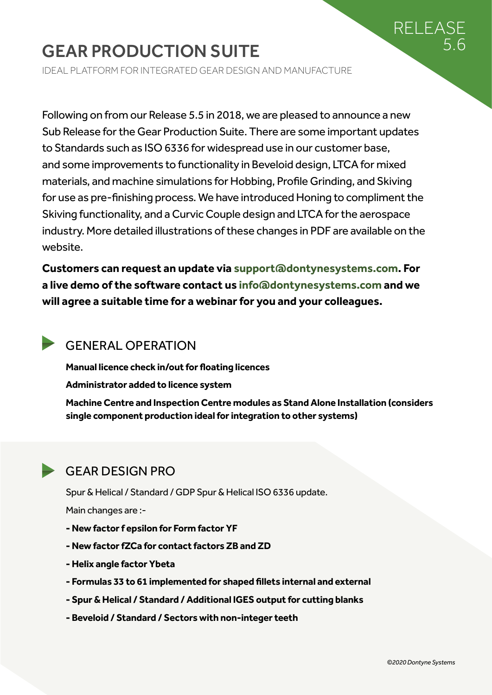### RELEASE 5.6

### GEAR PRODUCTION SUITE

IDEAL PLATFORM FOR INTEGRATED GEAR DESIGN AND MANUFACTURE

Following on from our Release 5.5 in 2018, we are pleased to announce a new Sub Release for the Gear Production Suite. There are some important updates to Standards such as ISO 6336 for widespread use in our customer base, and some improvements to functionality in Beveloid design, LTCA for mixed materials, and machine simulations for Hobbing, Profile Grinding, and Skiving for use as pre-finishing process. We have introduced Honing to compliment the Skiving functionality, and a Curvic Couple design and LTCA for the aerospace industry. More detailed illustrations of these changes in PDF are available on the website.

**Customers can request an update via support@dontynesystems.com. For a live demo of the software contact us info@dontynesystems.com and we will agree a suitable time for a webinar for you and your colleagues.**

#### GENERAL OPERATION

**Manual licence check in/out for floating licences**

**Administrator added to licence system**

**Machine Centre and Inspection Centre modules as Stand Alone Installation (considers single component production ideal for integration to other systems)**

#### GEAR DESIGN PRO

Spur & Helical / Standard / GDP Spur & Helical ISO 6336 update.

Main changes are :-

- **New factor f epsilon for Form factor YF**
- **New factor fZCa for contact factors ZB and ZD**
- **Helix angle factor Ybeta**
- **Formulas 33 to 61 implemented for shaped fillets internal and external**
- **Spur & Helical / Standard / Additional IGES output for cutting blanks**
- **Beveloid / Standard / Sectors with non-integer teeth**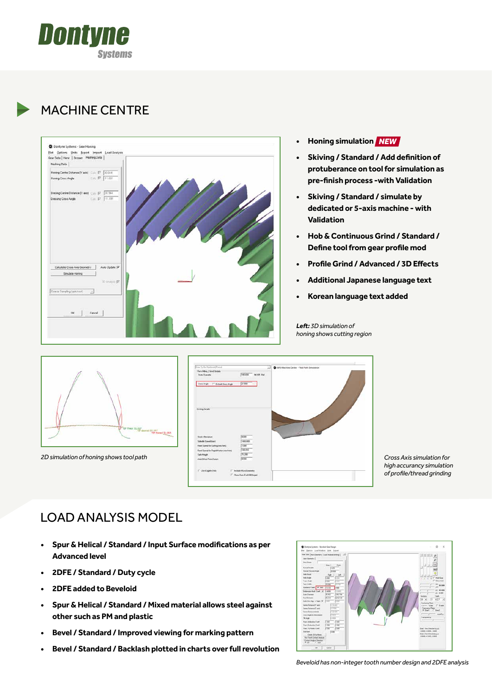

#### MACHINE CENTRE



- **• Honing simulation (NEW)** *NEW*
- **• Skiving / Standard / Add definition of protuberance on tool for simulation as pre-finish process -with Validation**
- **Skiving / Standard / simulate by dedicated or 5-axis machine - with Validation**
- **Hob & Continuous Grind / Standard / Define tool from gear profile mod**
- **• Profile Grind / Advanced / 3D Effects**
- **• Additional Japanese language text**
- **• Korean language text added**



*2D simulation of honing shows tool path*



*Cross Axis simulation for high accurancy simulation of profile/thread grinding*

#### LOAD ANALYSIS MODEL

- **• Spur & Helical / Standard / Input Surface modifications as per Advanced level**
- **• 2DFE / Standard / Duty cycle**
- **• 2DFE added to Beveloid**
- **Spur & Helical / Standard / Mixed material allows steel against other such as PM and plastic**
- **• Bevel / Standard / Improved viewing for marking pattern**
- **• Bevel / Standard / Backlash plotted in charts over full revolution**



*Beveloid has non-integer tooth number design and 2DFE analysis*

*Left: 3D simulation of honing shows cutting region*